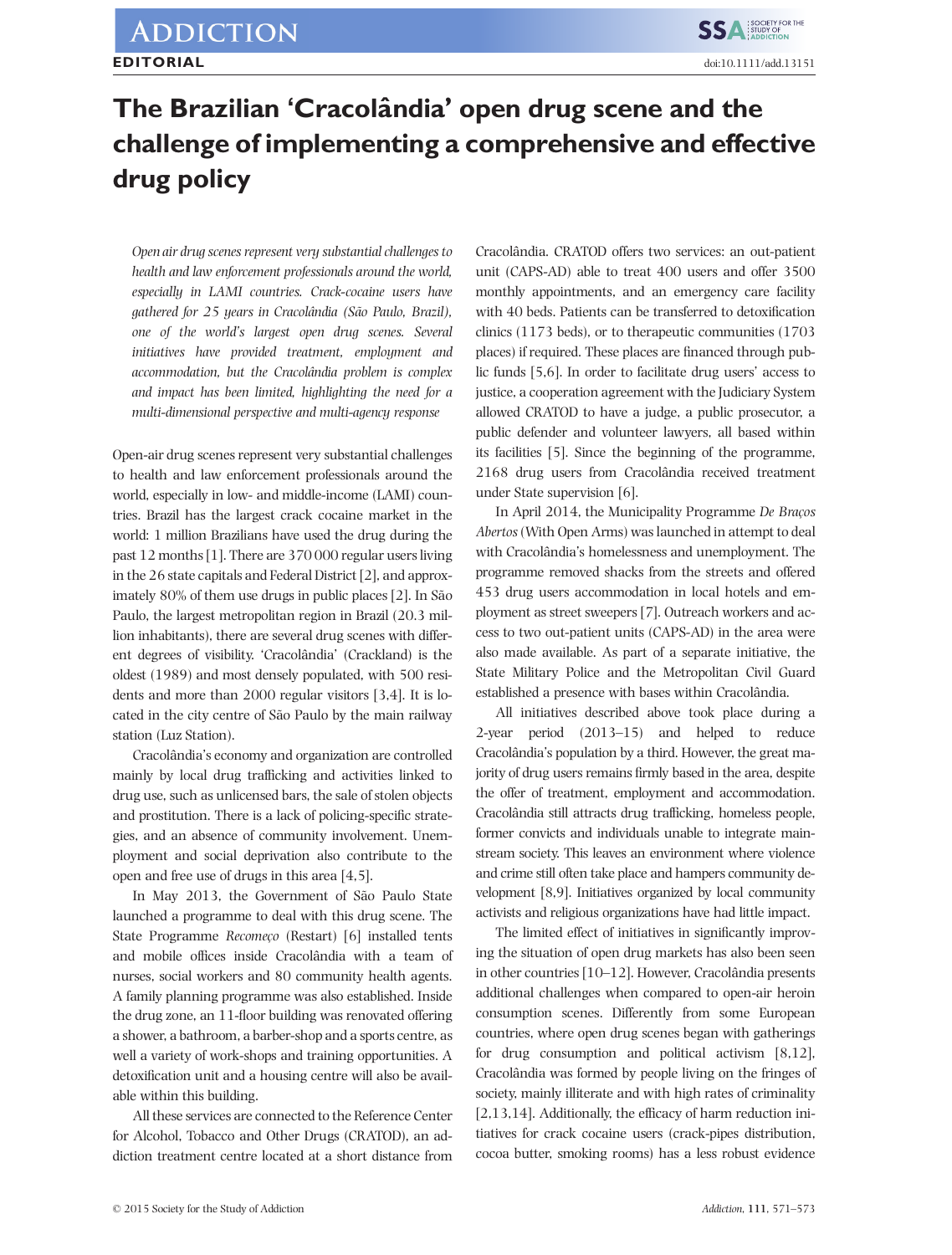

## The Brazilian 'Cracolândia' open drug scene and the challenge of implementing a comprehensive and effective drug policy

Open air drug scenes represent very substantial challenges to health and law enforcement professionals around the world, especially in LAMI countries. Crack-cocaine users have gathered for 25 years in Cracolândia (São Paulo, Brazil), one of the world's largest open drug scenes. Several initiatives have provided treatment, employment and accommodation, but the Cracolândia problem is complex and impact has been limited, highlighting the need for a multi-dimensional perspective and multi-agency response

Open-air drug scenes represent very substantial challenges to health and law enforcement professionals around the world, especially in low- and middle-income (LAMI) countries. Brazil has the largest crack cocaine market in the world: 1 million Brazilians have used the drug during the past 12 months [1]. There are 370 000 regular users living in the 26 state capitals and Federal District [2], and approximately 80% of them use drugs in public places [2]. In São Paulo, the largest metropolitan region in Brazil (20.3 million inhabitants), there are several drug scenes with different degrees of visibility. 'Cracolândia' (Crackland) is the oldest (1989) and most densely populated, with 500 residents and more than 2000 regular visitors [3,4]. It is located in the city centre of São Paulo by the main railway station (Luz Station).

Cracolândia's economy and organization are controlled mainly by local drug trafficking and activities linked to drug use, such as unlicensed bars, the sale of stolen objects and prostitution. There is a lack of policing-specific strategies, and an absence of community involvement. Unemployment and social deprivation also contribute to the open and free use of drugs in this area [4,5].

In May 2013, the Government of São Paulo State launched a programme to deal with this drug scene. The State Programme Recomeço (Restart) [6] installed tents and mobile offices inside Cracolândia with a team of nurses, social workers and 80 community health agents. A family planning programme was also established. Inside the drug zone, an 11-floor building was renovated offering a shower, a bathroom, a barber-shop and a sports centre, as well a variety of work-shops and training opportunities. A detoxification unit and a housing centre will also be available within this building.

All these services are connected to the Reference Center for Alcohol, Tobacco and Other Drugs (CRATOD), an addiction treatment centre located at a short distance from

Cracolândia. CRATOD offers two services: an out-patient unit (CAPS-AD) able to treat 400 users and offer 3500 monthly appointments, and an emergency care facility with 40 beds. Patients can be transferred to detoxification clinics (1173 beds), or to therapeutic communities (1703 places) if required. These places are financed through public funds [5,6]. In order to facilitate drug users' access to justice, a cooperation agreement with the Judiciary System allowed CRATOD to have a judge, a public prosecutor, a public defender and volunteer lawyers, all based within its facilities [5]. Since the beginning of the programme, 2168 drug users from Cracolândia received treatment under State supervision [6].

In April 2014, the Municipality Programme De Braços Abertos (With Open Arms) was launched in attempt to deal with Cracolândia's homelessness and unemployment. The programme removed shacks from the streets and offered 453 drug users accommodation in local hotels and employment as street sweepers [7]. Outreach workers and access to two out-patient units (CAPS-AD) in the area were also made available. As part of a separate initiative, the State Military Police and the Metropolitan Civil Guard established a presence with bases within Cracolândia.

All initiatives described above took place during a 2-year period (2013–15) and helped to reduce Cracolândia's population by a third. However, the great majority of drug users remains firmly based in the area, despite the offer of treatment, employment and accommodation. Cracolândia still attracts drug trafficking, homeless people, former convicts and individuals unable to integrate mainstream society. This leaves an environment where violence and crime still often take place and hampers community development [8,9]. Initiatives organized by local community activists and religious organizations have had little impact.

The limited effect of initiatives in significantly improving the situation of open drug markets has also been seen in other countries [10–12]. However, Cracolândia presents additional challenges when compared to open-air heroin consumption scenes. Differently from some European countries, where open drug scenes began with gatherings for drug consumption and political activism [8,12], Cracolândia was formed by people living on the fringes of society, mainly illiterate and with high rates of criminality [2,13,14]. Additionally, the efficacy of harm reduction initiatives for crack cocaine users (crack-pipes distribution, cocoa butter, smoking rooms) has a less robust evidence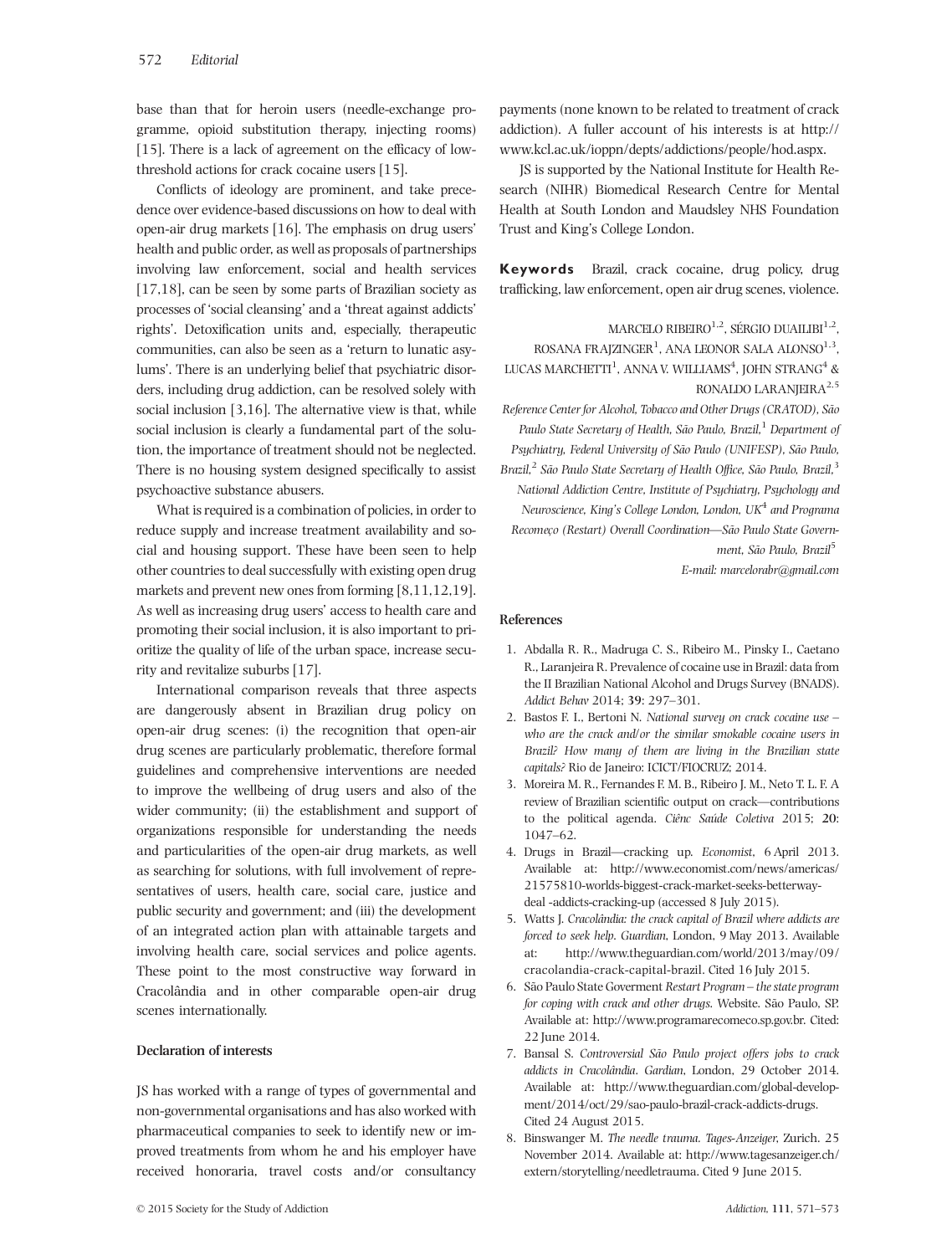base than that for heroin users (needle-exchange programme, opioid substitution therapy, injecting rooms) [15]. There is a lack of agreement on the efficacy of lowthreshold actions for crack cocaine users [15].

Conflicts of ideology are prominent, and take precedence over evidence-based discussions on how to deal with open-air drug markets [16]. The emphasis on drug users' health and public order, as well as proposals of partnerships involving law enforcement, social and health services [17,18], can be seen by some parts of Brazilian society as processes of 'social cleansing' and a 'threat against addicts' rights'. Detoxification units and, especially, therapeutic communities, can also be seen as a 'return to lunatic asylums'. There is an underlying belief that psychiatric disorders, including drug addiction, can be resolved solely with social inclusion [3,16]. The alternative view is that, while social inclusion is clearly a fundamental part of the solution, the importance of treatment should not be neglected. There is no housing system designed specifically to assist psychoactive substance abusers.

What is required is a combination of policies, in order to reduce supply and increase treatment availability and social and housing support. These have been seen to help other countries to deal successfully with existing open drug markets and prevent new ones from forming [8,11,12,19]. As well as increasing drug users' access to health care and promoting their social inclusion, it is also important to prioritize the quality of life of the urban space, increase security and revitalize suburbs [17].

International comparison reveals that three aspects are dangerously absent in Brazilian drug policy on open-air drug scenes: (i) the recognition that open-air drug scenes are particularly problematic, therefore formal guidelines and comprehensive interventions are needed to improve the wellbeing of drug users and also of the wider community; (ii) the establishment and support of organizations responsible for understanding the needs and particularities of the open-air drug markets, as well as searching for solutions, with full involvement of representatives of users, health care, social care, justice and public security and government; and (iii) the development of an integrated action plan with attainable targets and involving health care, social services and police agents. These point to the most constructive way forward in Cracolândia and in other comparable open-air drug scenes internationally.

## Declaration of interests

JS has worked with a range of types of governmental and non-governmental organisations and has also worked with pharmaceutical companies to seek to identify new or improved treatments from whom he and his employer have received honoraria, travel costs and/or consultancy

payments (none known to be related to treatment of crack addiction). A fuller account of his interests is at http:// www.kcl.ac.uk/ioppn/depts/addictions/people/hod.aspx.

JS is supported by the National Institute for Health Research (NIHR) Biomedical Research Centre for Mental Health at South London and Maudsley NHS Foundation Trust and King's College London.

Keywords Brazil, crack cocaine, drug policy, drug trafficking, law enforcement, open air drug scenes, violence.

MARCELO RIBEIRO<sup>1,2</sup>, SÉRGIO DUAILIBI<sup>1,2</sup>,

ROSANA FRAJZINGER $^1$ , ANA LEONOR SALA ALONSO $^{1,3},$ LUCAS MARCHETTI $^1$ , ANNA V. WILLIAMS $^4$ , JOHN STRANG $^4$  & RONALDO LARANJEIRA<sup>2,5</sup>

Reference Center for Alcohol, Tobacco and Other Drugs (CRATOD), São Paulo State Secretary of Health, São Paulo, Brazil,<sup>1</sup> Department of Psychiatry, Federal University of São Paulo (UNIFESP), São Paulo, Brazil,<sup>2</sup> São Paulo State Secretary of Health Office, São Paulo, Brazil,<sup>3</sup> National Addiction Centre, Institute of Psychiatry, Psychology and Neuroscience, King's College London, London,  $UK<sup>4</sup>$  and Programa Recomeço (Restart) Overall Coordination—São Paulo State Government, São Paulo, Brazil<sup>5</sup>

E-mail: marcelorabr@gmail.com

## References

- 1. Abdalla R. R., Madruga C. S., Ribeiro M., Pinsky I., Caetano R., Laranjeira R. Prevalence of cocaine use in Brazil: data from the II Brazilian National Alcohol and Drugs Survey (BNADS). Addict Behav 2014; 39: 297–301.
- 2. Bastos F. I., Bertoni N. National survey on crack cocaine use who are the crack and/or the similar smokable cocaine users in Brazil? How many of them are living in the Brazilian state capitals? Rio de Janeiro: ICICT/FIOCRUZ; 2014.
- 3. Moreira M. R., Fernandes F. M. B., Ribeiro J. M., Neto T. L. F. A review of Brazilian scientific output on crack—contributions to the political agenda. Ciênc Saúde Coletiva 2015; 20: 1047–62.
- 4. Drugs in Brazil—cracking up. Economist, 6 April 2013. Available at: http://www.economist.com/news/americas/ 21575810-worlds-biggest-crack-market-seeks-betterwaydeal -addicts-cracking-up (accessed 8 July 2015).
- 5. Watts J. Cracolândia: the crack capital of Brazil where addicts are forced to seek help. Guardian, London, 9 May 2013. Available at: [http://www.theguardian.com/world/2013/may/09/](http://www.theguardian.com/world/2013/may/09/cracolandia-crack-capital-brazil) [cracolandia-crack-capital-brazil.](http://www.theguardian.com/world/2013/may/09/cracolandia-crack-capital-brazil) Cited 16 July 2015.
- 6. São Paulo State Goverment Restart Program the state program for coping with crack and other drugs. Website. São Paulo, SP. Available at: http://www.programarecomeco.sp.gov.br. Cited: 22 June 2014.
- 7. Bansal S. Controversial São Paulo project offers jobs to crack addicts in Cracolândia. Gardian, London, 29 October 2014. Available at: http://www.theguardian.com/global-development/2014/oct/29/sao-paulo-brazil-crack-addicts-drugs. Cited 24 August 2015.
- 8. Binswanger M. The needle trauma. Tages-Anzeiger, Zurich. 25 November 2014. Available at: [http://www.tagesanzeiger.ch/](http://www.tagesanzeiger.ch/extern/storytelling/needletrauma) [extern/storytelling/needletrauma](http://www.tagesanzeiger.ch/extern/storytelling/needletrauma). Cited 9 June 2015.